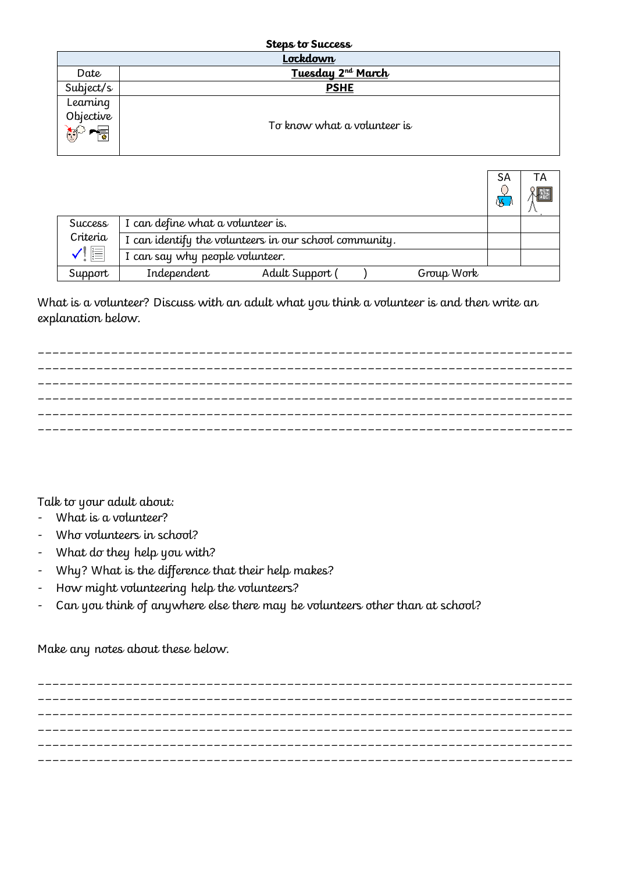| <b>Steps to Success</b> |                               |  |  |
|-------------------------|-------------------------------|--|--|
| Lockdown                |                               |  |  |
| Date                    | Tuesday 2 <sup>nd</sup> March |  |  |
| Subject/s               | <b>PSHE</b>                   |  |  |
| Learning                |                               |  |  |
| Objective               | To know what a volunteer is   |  |  |
|                         |                               |  |  |

|                                                   |                                                        | SA<br>QB. | TА |
|---------------------------------------------------|--------------------------------------------------------|-----------|----|
| Success<br>Criteria<br>$\checkmark$ ( $\mathbb H$ | I can define what a volunteer is.                      |           |    |
|                                                   | I can identify the volunteers in our school community. |           |    |
|                                                   | I can say why people volunteer.                        |           |    |
| Support                                           | Independent<br>Adult Support (<br>Group Work           |           |    |

What is a volunteer? Discuss with an adult what you think a volunteer is and then write an explanation below.



Talk to your adult about:

- What is a volunteer?
- Who volunteers in school?
- What do they help you with?
- Why? What is the difference that their help makes?
- How might volunteering help the volunteers?
- Can you think of anywhere else there may be volunteers other than at school?

Make any notes about these below.

\_\_\_\_\_\_\_\_\_\_\_\_\_\_\_\_\_\_\_\_\_\_\_\_\_\_\_\_\_\_\_\_\_\_\_\_\_\_\_\_\_\_\_\_\_\_\_\_\_\_\_\_\_\_\_\_\_\_\_\_\_\_\_\_\_\_\_\_\_\_\_\_\_ \_\_\_\_\_\_\_\_\_\_\_\_\_\_\_\_\_\_\_\_\_\_\_\_\_\_\_\_\_\_\_\_\_\_\_\_\_\_\_\_\_\_\_\_\_\_\_\_\_\_\_\_\_\_\_\_\_\_\_\_\_\_\_\_\_\_\_\_\_\_\_\_\_  $\mathcal{L}_\text{max}$ \_\_\_\_\_\_\_\_\_\_\_\_\_\_\_\_\_\_\_\_\_\_\_\_\_\_\_\_\_\_\_\_\_\_\_\_\_\_\_\_\_\_\_\_\_\_\_\_\_\_\_\_\_\_\_\_\_\_\_\_\_\_\_\_\_\_\_\_\_\_\_\_\_ \_\_\_\_\_\_\_\_\_\_\_\_\_\_\_\_\_\_\_\_\_\_\_\_\_\_\_\_\_\_\_\_\_\_\_\_\_\_\_\_\_\_\_\_\_\_\_\_\_\_\_\_\_\_\_\_\_\_\_\_\_\_\_\_\_\_\_\_\_\_\_\_\_ \_\_\_\_\_\_\_\_\_\_\_\_\_\_\_\_\_\_\_\_\_\_\_\_\_\_\_\_\_\_\_\_\_\_\_\_\_\_\_\_\_\_\_\_\_\_\_\_\_\_\_\_\_\_\_\_\_\_\_\_\_\_\_\_\_\_\_\_\_\_\_\_\_